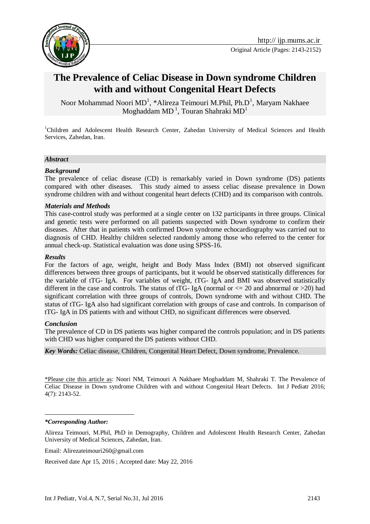

# **The Prevalence of Celiac Disease in Down syndrome Children with and without Congenital Heart Defects**

Noor Mohammad Noori MD<sup>1</sup>, \*Alireza Teimouri M.Phil, Ph.D<sup>1</sup>, Maryam Nakhaee Moghaddam MD $^{\rm l}$ , Touran Shahraki MD $^{\rm l}$ 

<sup>1</sup>Children and Adolescent Health Research Center, Zahedan University of Medical Sciences and Health Services, Zahedan, Iran.

#### *Abstract*

#### *Background*

The prevalence of celiac disease (CD) is remarkably varied in Down syndrome (DS) patients compared with other diseases. This study aimed to assess celiac disease prevalence in Down syndrome children with and without congenital heart defects (CHD) and its comparison with controls.

#### *Materials and Methods*

This case-control study was performed at a single center on 132 participants in three groups. Clinical and genetic tests were performed on all patients suspected with Down syndrome to confirm their diseases. After that in patients with confirmed Down syndrome echocardiography was carried out to diagnosis of CHD. Healthy children selected randomly among those who referred to the center for annual check-up. Statistical evaluation was done using SPSS-16.

#### *Results*

For the factors of age, weight, height and Body Mass Index (BMI) not observed significant differences between three groups of participants, but it would be observed statistically differences for the variable of tTG- IgA. For variables of weight, tTG- IgA and BMI was observed statistically different in the case and controls. The status of tTG- IgA (normal or  $\leq$  20 and abnormal or  $>$ 20) had significant correlation with three groups of controls, Down syndrome with and without CHD. The status of tTG- IgA also had significant correlation with groups of case and controls. In comparison of tTG- IgA in DS patients with and without CHD, no significant differences were observed.

#### *Conclusion*

The prevalence of CD in DS patients was higher compared the controls population; and in DS patients with CHD was higher compared the DS patients without CHD.

*Key Words:* Celiac disease, Children, Congenital Heart Defect, Down syndrome, Prevalence.

\*Please cite this article as: Noori NM, Teimouri A Nakhaee Moghaddam M, Shahraki T. The Prevalence of Celiac Disease in Down syndrome Children with and without Congenital Heart Defects. Int J Pediatr 2016; 4(7): 2143-52.

#### *\*Corresponding Author:*

<u>.</u>

Alireza Teimouri, M.Phil, PhD in Demography, Children and Adolescent Health Research Center, Zahedan University of Medical Sciences, Zahedan, Iran.

Received date Apr 15, 2016 ; Accepted date: May 22, 2016

Email: [Alirezateimouri260@gmail.com](mailto:Alirezateimouri260@gmail.com)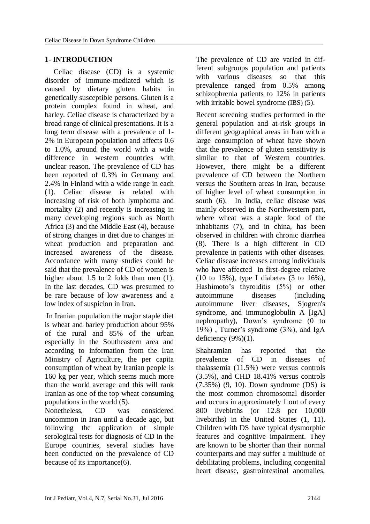### **1- INTRODUCTION**

Celiac disease (CD) is a systemic disorder of immune-mediated which is caused by dietary gluten habits in genetically susceptible persons. Gluten is a protein complex found in wheat, and barley. Celiac disease is characterized by a broad range of clinical presentations. It is a long term disease with a prevalence of 1- 2% in European population and affects 0.6 to 1.0%, around the world with a wide difference in western countries with unclear reason. The prevalence of CD has been reported of 0.3% in Germany and 2.4% in Finland with a wide range in each (1). Celiac disease is related with increasing of risk of both lymphoma and mortality (2) and recently is increasing in many developing regions such as North Africa (3) and the Middle East (4), because of strong changes in diet due to changes in wheat production and preparation and increased awareness of the disease. Accordance with many studies could be said that the prevalence of CD of women is higher about 1.5 to 2 folds than men  $(1)$ . In the last decades, CD was presumed to be rare because of low awareness and a low index of suspicion in Iran.

In Iranian population the major staple diet is wheat and barley production about 95% of the rural and 85% of the urban especially in the Southeastern area and according to information from the Iran Ministry of Agriculture, the per capita consumption of wheat by Iranian people is 160 kg per year, which seems much more than the world average and this will rank Iranian as one of the top wheat consuming populations in the world (5).

Nonetheless, CD was considered uncommon in Iran until a decade ago, but following the application of simple serological tests for diagnosis of CD in the Europe countries, several studies have been conducted on the prevalence of CD because of its importance(6).

The prevalence of CD are varied in different subgroups population and patients with various diseases so that this prevalence ranged from 0.5% among schizophrenia patients to 12% in patients with irritable bowel syndrome (IBS) (5).

Recent screening studies performed in the general population and at-risk groups in different geographical areas in Iran with a large consumption of wheat have shown that the prevalence of gluten sensitivity is similar to that of Western countries. However, there might be a different prevalence of CD between the Northern versus the Southern areas in Iran, because of higher level of wheat consumption in south (6). In India, celiac disease was mainly observed in the Northwestern part, where wheat was a staple food of the inhabitants (7), and in china, has been observed in children with chronic diarrhea (8). There is a high different in CD prevalence in patients with other diseases. Celiac disease increases among individuals who have affected in first-degree relative (10 to 15%), type I diabetes (3 to 16%), Hashimoto's thyroiditis (5%) or other autoimmune diseases (including autoimmune liver diseases, Sjogren's syndrome, and immunoglobulin A [IgA] nephropathy), Down's syndrome (0 to 19%) , Turner's syndrome (3%), and IgA deficiency  $(9\%)(1)$ .

Shahramian has reported that the prevalence of CD in diseases of thalassemia (11.5%) were versus controls (3.5%), and CHD 18.41% versus controls (7.35%) (9, 10). Down syndrome (DS) is the most common chromosomal disorder and occurs in approximately 1 out of every 800 livebirths (or 12.8 per 10,000 livebirths) in the United States (1, 11). Children with DS have typical dysmorphic features and cognitive impairment. They are known to be shorter than their normal counterparts and may suffer a multitude of debilitating problems, including congenital heart disease, gastrointestinal anomalies,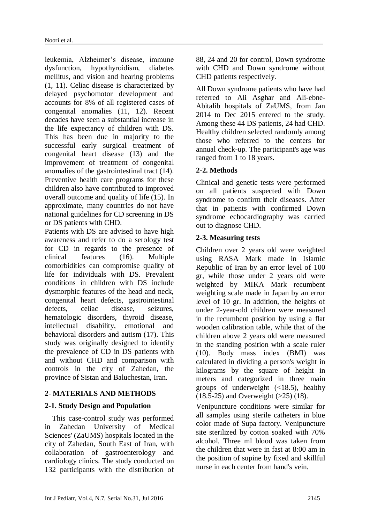leukemia, Alzheimer's disease, immune dysfunction, hypothyroidism, diabetes mellitus, and vision and hearing problems (1, 11). Celiac disease is characterized by delayed psychomotor development and accounts for 8% of all registered cases of congenital anomalies (11, 12). Recent decades have seen a substantial increase in the life expectancy of children with DS. This has been due in majority to the successful early surgical treatment of congenital heart disease (13) and the improvement of treatment of congenital anomalies of the gastrointestinal tract (14). Preventive health care programs for these children also have contributed to improved overall outcome and quality of life (15). In approximate, many countries do not have national guidelines for CD screening in DS or DS patients with CHD.

Patients with DS are advised to have high awareness and refer to do a serology test for CD in regards to the presence of clinical features (16). Multiple comorbidities can compromise quality of life for individuals with DS. Prevalent conditions in children with DS include dysmorphic features of the head and neck, congenital heart defects, gastrointestinal defects, celiac disease, seizures, hematologic disorders, thyroid disease, intellectual disability, emotional and behavioral disorders and autism (17). This study was originally designed to identify the prevalence of CD in DS patients with and without CHD and comparison with controls in the city of Zahedan, the province of Sistan and Baluchestan, Iran.

# **2- MATERIALS AND METHODS**

### **2-1. Study Design and Population**

 This case-control study was performed in Zahedan University of Medical Sciences' (ZaUMS) hospitals located in the city of Zahedan, South East of Iran, with collaboration of gastroenterology and cardiology clinics. The study conducted on 132 participants with the distribution of 88, 24 and 20 for control, Down syndrome with CHD and Down syndrome without CHD patients respectively.

All Down syndrome patients who have had referred to Ali Asghar and Ali-ebne-Abitalib hospitals of ZaUMS, from Jan 2014 to Dec 2015 entered to the study. Among these 44 DS patients, 24 had CHD. Healthy children selected randomly among those who referred to the centers for annual check-up. The participant's age was ranged from 1 to 18 years.

# **2-2. Methods**

Clinical and genetic tests were performed on all patients suspected with Down syndrome to confirm their diseases. After that in patients with confirmed Down syndrome echocardiography was carried out to diagnose CHD.

### **2-3. Measuring tests**

Children over 2 years old were weighted using RASA Mark made in Islamic Republic of Iran by an error level of 100 gr, while those under 2 years old were weighted by MIKA Mark recumbent weighting scale made in Japan by an error level of 10 gr. In addition, the heights of under 2-year-old children were measured in the recumbent position by using a flat wooden calibration table, while that of the children above 2 years old were measured in the standing position with a scale ruler (10). Body mass index (BMI) was calculated in dividing a person's weight in kilograms by the square of height in meters and categorized in three main groups of underweight  $(\langle 18.5)$ , healthy (18.5-25) and Overweight (>25) (18).

Venipuncture conditions were similar for all samples using sterile catheters in blue color made of Supa factory. Venipuncture site sterilized by cotton soaked with 70% alcohol. Three ml blood was taken from the children that were in fast at 8:00 am in the position of supine by fixed and skillful nurse in each center from hand's vein.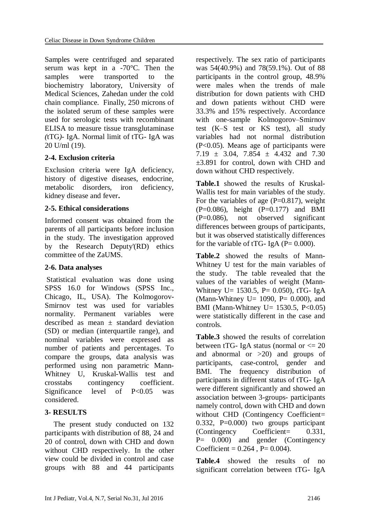Samples were centrifuged and separated serum was kept in a -70°C. Then the samples were transported to the biochemistry laboratory, University of Medical Sciences, Zahedan under the cold chain compliance. Finally, 250 microns of the isolated serum of these samples were used for serologic tests with recombinant ELISA to measure tissue transglutaminase *(*tTG*)-* IgA. Normal limit of tTG- IgA was 20 U/ml (19).

### **2-4. Exclusion criteria**

Exclusion criteria were IgA deficiency, history of digestive diseases, endocrine, metabolic disorders, iron deficiency, kidney disease and fever**.**

# **2-5. Ethical considerations**

Informed consent was obtained from the parents of all participants before inclusion in the study. The investigation approved by the Research Deputy'(RD) ethics committee of the ZaUMS.

# **2-6. Data analyses**

Statistical evaluation was done using SPSS 16.0 for Windows (SPSS Inc., Chicago, IL, USA). The Kolmogorov-Smirnov test was used for variables normality. Permanent variables were described as mean  $\pm$  standard deviation (SD) or median (interquartile range), and nominal variables were expressed as number of patients and percentages. To compare the groups, data analysis was performed using non parametric Mann-Whitney U, Kruskal-Wallis test and crosstabs contingency coefficient. Significance level of P<0.05 was considered.

### **3- RESULTS**

The present study conducted on 132 participants with distribution of 88, 24 and 20 of control, down with CHD and down without CHD respectively. In the other view could be divided in control and case groups with 88 and 44 participants respectively. The sex ratio of participants was 54(40.9%) and 78(59.1%). Out of 88 participants in the control group, 48.9% were males when the trends of male distribution for down patients with CHD and down patients without CHD were 33.3% and 15% respectively. Accordance with one-sample Kolmogorov–Smirnov test (K–S test or KS test), all study variables had not normal distribution (P<0.05). Means age of participants were  $7.19 \pm 3.04$ ,  $7.854 \pm 4.432$  and  $7.30$ ±3.891 for control, down with CHD and down without CHD respectively.

**Table.1** showed the results of Kruskal-Wallis test for main variables of the study. For the variables of age  $(P=0.817)$ , weight  $(P=0.086)$ , height  $(P=0.177)$  and BMI (P=0.086), not observed significant differences between groups of participants, but it was observed statistically differences for the variable of tTG- IgA ( $P = 0.000$ ).

**Table.2** showed the results of Mann-Whitney U test for the main variables of the study. The table revealed that the values of the variables of weight (Mann-Whitney U=  $1530.5$ , P= 0.050), tTG- IgA (Mann-Whitney U=  $1090$ , P=  $0.000$ ), and BMI (Mann-Whitney U=  $1530.5$ , P<0.05) were statistically different in the case and controls.

**Table.3** showed the results of correlation between tTG- IgA status (normal or  $\leq$  20 and abnormal or >20) and groups of participants, case-control, gender and BMI. The frequency distribution of participants in different status of tTG- IgA were different significantly and showed an association between 3-groups- participants namely control, down with CHD and down without CHD (Contingency Coefficient= 0.332, P=0.000) two groups participant (Contingency Coefficient= 0.331, P= 0.000) and gender (Contingency Coefficient =  $0.264$ , P=  $0.004$ ).

**Table.4** showed the results of no significant correlation between tTG- IgA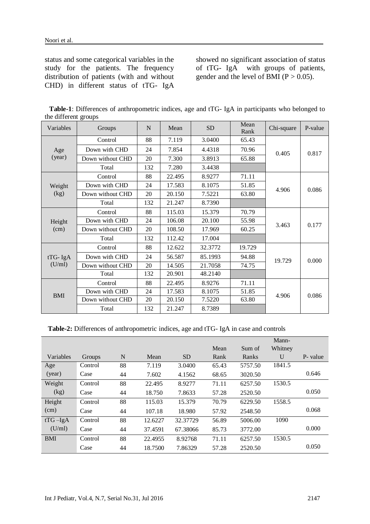status and some categorical variables in the study for the patients. The frequency distribution of patients (with and without CHD) in different status of tTG- IgA showed no significant association of status of tTG- IgA with groups of patients, gender and the level of BMI ( $P > 0.05$ ).

| Variables  | Groups           | N   | Mean   | <b>SD</b> | Mean<br>Rank | Chi-square | P-value |
|------------|------------------|-----|--------|-----------|--------------|------------|---------|
|            | Control          | 88  | 7.119  | 3.0400    | 65.43        |            | 0.817   |
| Age        | Down with CHD    | 24  | 7.854  | 4.4318    | 70.96        | 0.405      |         |
| (year)     | Down without CHD | 20  | 7.300  | 3.8913    | 65.88        |            |         |
|            | Total            | 132 | 7.280  | 3.4438    |              |            |         |
|            | Control          | 88  | 22.495 | 8.9277    | 71.11        |            |         |
| Weight     | Down with CHD    | 24  | 17.583 | 8.1075    | 51.85        | 4.906      | 0.086   |
| (kg)       | Down without CHD | 20  | 20.150 | 7.5221    | 63.80        |            |         |
|            | Total            | 132 | 21.247 | 8.7390    |              |            |         |
|            | Control          | 88  | 115.03 | 15.379    | 70.79        |            | 0.177   |
| Height     | Down with CHD    | 24  | 106.08 | 20.100    | 55.98        |            |         |
| (cm)       | Down without CHD | 20  | 108.50 | 17.969    | 60.25        | 3.463      |         |
|            | Total            | 132 | 112.42 | 17.004    |              |            |         |
|            | Control          | 88  | 12.622 | 32.3772   | 19.729       |            | 0.000   |
| $tTG- IgA$ | Down with CHD    | 24  | 56.587 | 85.1993   | 94.88        | 19.729     |         |
| (U/ml)     | Down without CHD | 20  | 14.505 | 21.7058   | 74.75        |            |         |
|            | Total            | 132 | 20.901 | 48.2140   |              |            |         |
| <b>BMI</b> | Control          | 88  | 22.495 | 8.9276    | 71.11        |            |         |
|            | Down with CHD    | 24  | 17.583 | 8.1075    | 51.85        |            |         |
|            | Down without CHD | 20  | 20.150 | 7.5220    | 63.80        | 4.906      | 0.086   |
|            | Total            | 132 | 21.247 | 8.7389    |              |            |         |

 **Table-1**: Differences of anthropometric indices, age and tTG- IgA in participants who belonged to the different groups

**Table-2:** Differences of anthropometric indices, age and tTG- IgA in case and controls

|            |         |    |         |                 |       |         | Mann-        |          |
|------------|---------|----|---------|-----------------|-------|---------|--------------|----------|
|            |         |    |         |                 | Mean  | Sum of  | Whitney      |          |
| Variables  | Groups  | N  | Mean    | SD <sub>1</sub> | Rank  | Ranks   | $\mathbf{U}$ | P- value |
| Age        | Control | 88 | 7.119   | 3.0400          | 65.43 | 5757.50 | 1841.5       |          |
| (year)     | Case    | 44 | 7.602   | 4.1562          | 68.65 | 3020.50 |              | 0.646    |
| Weight     | Control | 88 | 22.495  | 8.9277          | 71.11 | 6257.50 | 1530.5       |          |
| (kg)       | Case    | 44 | 18.750  | 7.8633          | 57.28 | 2520.50 |              | 0.050    |
| Height     | Control | 88 | 115.03  | 15.379          | 70.79 | 6229.50 | 1558.5       |          |
| (cm)       | Case    | 44 | 107.18  | 18.980          | 57.92 | 2548.50 |              | 0.068    |
| $tTG-IgA$  | Control | 88 | 12.6227 | 32.37729        | 56.89 | 5006.00 | 1090         |          |
| (U/ml)     | Case    | 44 | 37.4591 | 67.38066        | 85.73 | 3772.00 |              | 0.000    |
| <b>BMI</b> | Control | 88 | 22.4955 | 8.92768         | 71.11 | 6257.50 | 1530.5       |          |
|            | Case    | 44 | 18.7500 | 7.86329         | 57.28 | 2520.50 |              | 0.050    |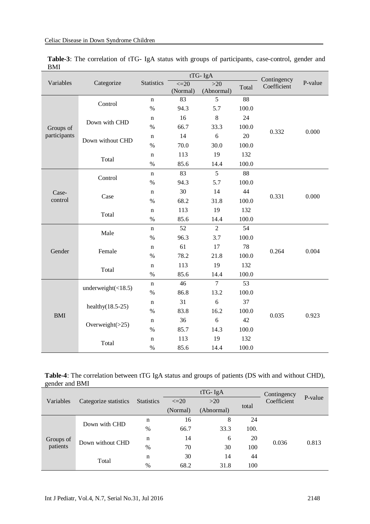|              | Categorize                | tTG-IgA           |                       |                     |       | Contingency |         |
|--------------|---------------------------|-------------------|-----------------------|---------------------|-------|-------------|---------|
| Variables    |                           | <b>Statistics</b> | $\leq=20$<br>(Normal) | $>20$<br>(Abnormal) | Total | Coefficient | P-value |
|              | Control                   | $\mathbf n$       | 83                    | 5                   | 88    |             | 0.000   |
|              |                           | $\%$              | 94.3                  | 5.7                 | 100.0 |             |         |
|              | Down with CHD             | n                 | 16                    | 8                   | 24    |             |         |
| Groups of    |                           | %                 | 66.7                  | 33.3                | 100.0 |             |         |
| participants | Down without CHD          | $\mathbf n$       | 14                    | 6                   | 20    | 0.332       |         |
|              |                           | $\%$              | 70.0                  | 30.0                | 100.0 |             |         |
|              |                           | $\mathbf n$       | 113                   | 19                  | 132   |             |         |
|              | Total                     | %                 | 85.6                  | 14.4                | 100.0 |             |         |
|              |                           | $\mathbf n$       | 83                    | 5                   | 88    |             | 0.000   |
|              | Control                   | %                 | 94.3                  | 5.7                 | 100.0 | 0.331       |         |
| Case-        | Case                      | $\mathbf n$       | 30                    | 14                  | 44    |             |         |
| control      |                           | $\%$              | 68.2                  | 31.8                | 100.0 |             |         |
|              | Total                     | $\mathbf n$       | 113                   | 19                  | 132   |             |         |
|              |                           | $\%$              | 85.6                  | 14.4                | 100.0 |             |         |
|              | Male                      | $\mathbf n$       | 52                    | $\overline{2}$      | 54    |             | 0.004   |
|              |                           | $\%$              | 96.3                  | 3.7                 | 100.0 |             |         |
| Gender       | Female                    | $\mathbf n$       | 61                    | 17                  | 78    | 0.264       |         |
|              |                           | %                 | 78.2                  | 21.8                | 100.0 |             |         |
|              | Total                     | $\mathbf n$       | 113                   | 19                  | 132   |             |         |
|              |                           | $\%$              | 85.6                  | 14.4                | 100.0 |             |         |
|              | underweight $(\leq 18.5)$ | $\mathbf n$       | 46                    | $\overline{7}$      | 53    |             |         |
|              |                           | $\%$              | 86.8                  | 13.2                | 100.0 |             |         |
| <b>BMI</b>   | healthy $(18.5-25)$       | $\mathbf n$       | 31                    | 6                   | 37    |             |         |
|              |                           | $\%$              | 83.8                  | 16.2                | 100.0 | 0.035       |         |
|              |                           | $\mathbf n$       | 36                    | 6                   | 42    |             | 0.923   |
|              | Overweight $(>25)$        | $\%$              | 85.7                  | 14.3                | 100.0 |             |         |
|              |                           | $\mathbf n$       | 113                   | 19                  | 132   |             |         |
|              | Total                     | $\%$              | 85.6                  | 14.4                | 100.0 |             |         |

**Table-3**: The correlation of tTG- IgA status with groups of participants, case-control, gender and BMI

| <b>Table-4</b> : The correlation between tTG IgA status and groups of patients (DS with and without CHD), |  |  |  |
|-----------------------------------------------------------------------------------------------------------|--|--|--|
| gender and BMI                                                                                            |  |  |  |

|                       | Categorize statistics |                   |           | $tTG- IgA$ | Contingency |             |         |
|-----------------------|-----------------------|-------------------|-----------|------------|-------------|-------------|---------|
| Variables             |                       | <b>Statistics</b> | $\leq$ 20 | >20        | total       | Coefficient | P-value |
|                       |                       |                   | (Normal)  | (Abnormal) |             |             |         |
| Groups of<br>patients | Down with CHD         | n                 | 16        | 8          | 24          |             |         |
|                       |                       | $\%$              | 66.7      | 33.3       | 100.        | 0.036       |         |
|                       | Down without CHD      | n                 | 14        | 6          | 20          |             |         |
|                       |                       | $\%$              | 70        | 30         | 100         |             | 0.813   |
|                       | Total                 | n                 | 30        | 14         | 44          |             |         |
|                       |                       | $\%$              | 68.2      | 31.8       | 100         |             |         |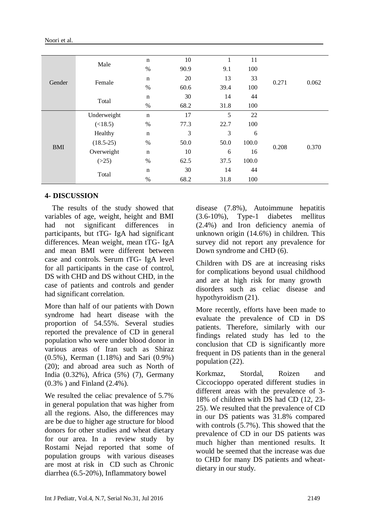| Noori et al. |  |
|--------------|--|
|              |  |

|            |             | $\mathbf n$ | 10   | 1    | 11    | 0.271 | 0.062 |
|------------|-------------|-------------|------|------|-------|-------|-------|
|            | Male        | %           | 90.9 | 9.1  | 100   |       |       |
|            | Female      | $\mathbf n$ | 20   | 13   | 33    |       |       |
| Gender     |             | %           | 60.6 | 39.4 | 100   |       |       |
|            |             | $\mathbf n$ | 30   | 14   | 44    |       |       |
|            | Total       | $\%$        | 68.2 | 31.8 | 100   |       |       |
| <b>BMI</b> | Underweight | $\mathbf n$ | 17   | 5    | 22    | 0.208 | 0.370 |
|            | (<18.5)     | %           | 77.3 | 22.7 | 100   |       |       |
|            | Healthy     | $\mathbf n$ | 3    | 3    | 6     |       |       |
|            | $(18.5-25)$ | $\%$        | 50.0 | 50.0 | 100.0 |       |       |
|            | Overweight  | $\mathbf n$ | 10   | 6    | 16    |       |       |
|            | (>25)       | $\%$        | 62.5 | 37.5 | 100.0 |       |       |
|            | Total       | $\mathbf n$ | 30   | 14   | 44    |       |       |
|            |             | $\%$        | 68.2 | 31.8 | 100   |       |       |

### **4- DISCUSSION**

 The results of the study showed that variables of age, weight, height and BMI had not significant differences in participants, but tTG- IgA had significant differences. Mean weight, mean tTG- IgA and mean BMI were different between case and controls. Serum tTG- IgA level for all participants in the case of control, DS with CHD and DS without CHD, in the case of patients and controls and gender had significant correlation.

More than half of our patients with Down syndrome had heart disease with the proportion of 54.55%. Several studies reported the prevalence of CD in general population who were under blood donor in various areas of Iran such as Shiraz (0.5%), Kerman (1.18%) and Sari (0.9%) (20); and abroad area such as North of India (0.32%), Africa (5%) (7), Germany (0.3% ) and Finland (2.4%).

We resulted the celiac prevalence of 5.7% in general population that was higher from all the regions. Also, the differences may are be due to higher age structure for blood donors for other studies and wheat dietary for our area. In a review study by Rostami Nejad reported that some of population groups with various diseases are most at risk in CD such as Chronic diarrhea (6.5-20%), Inflammatory bowel

disease (7.8%), Autoimmune hepatitis (3.6-10%), Type-1 diabetes mellitus (2.4%) and Iron deficiency anemia of unknown origin (14.6%) in children. This survey did not report any prevalence for Down syndrome and CHD (6).

Children with DS are at increasing risks for complications beyond usual childhood and are at high risk for many growth disorders such as celiac disease and hypothyroidism (21).

More recently, efforts have been made to evaluate the prevalence of CD in DS patients. Therefore, similarly with our findings related study has led to the conclusion that CD is significantly more frequent in DS patients than in the general population (22).

Korkmaz, Stordal, Roizen and Ciccocioppo operated different studies in different areas with the prevalence of 3- 18% of children with DS had CD (12, 23- 25). We resulted that the prevalence of CD in our DS patients was 31.8% compared with controls (5.7%). This showed that the prevalence of CD in our DS patients was much higher than mentioned results. It would be seemed that the increase was due to CHD for many DS patients and wheatdietary in our study.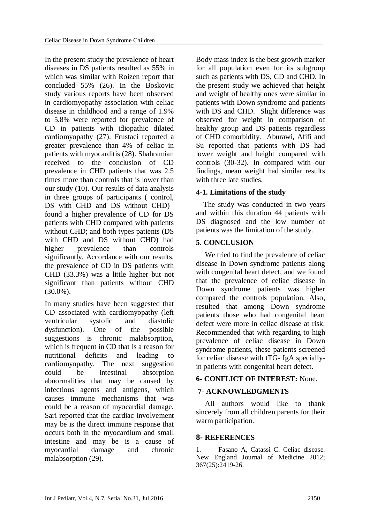In the present study the prevalence of heart diseases in DS patients resulted as 55% in which was similar with Roizen report that concluded 55% (26). In the Boskovic study various reports have been observed in cardiomyopathy association with celiac disease in childhood and a range of 1.9% to 5.8% were reported for prevalence of CD in patients with idiopathic dilated cardiomyopathy (27). Frustaci reported a greater prevalence than 4% of celiac in patients with myocarditis (28). Shahramian received to the conclusion of CD prevalence in CHD patients that was 2.5 times more than controls that is lower than our study (10). Our results of data analysis in three groups of participants ( control, DS with CHD and DS without CHD) found a higher prevalence of CD for DS patients with CHD compared with patients without CHD; and both types patients (DS with CHD and DS without CHD) had higher prevalence than controls significantly. Accordance with our results, the prevalence of CD in DS patients with CHD (33.3%) was a little higher but not significant than patients without CHD  $(30.0\%)$ .

In many studies have been suggested that CD associated with cardiomyopathy (left ventricular systolic and diastolic dysfunction). One of the possible suggestions is chronic malabsorption, which is frequent in CD that is a reason for nutritional deficits and leading to cardiomyopathy. The next suggestion could be intestinal absorption abnormalities that may be caused by infectious agents and antigens, which causes immune mechanisms that was could be a reason of myocardial damage. Sari reported that the cardiac involvement may be is the direct immune response that occurs both in the myocardium and small intestine and may be is a cause of myocardial damage and chronic malabsorption (29).

Body mass index is the best growth marker for all population even for its subgroup such as patients with DS, CD and CHD. In the present study we achieved that height and weight of healthy ones were similar in patients with Down syndrome and patients with DS and CHD. Slight difference was observed for weight in comparison of healthy group and DS patients regardless of CHD comorbidity. Aburawi, Afifi and Su reported that patients with DS had lower weight and height compared with controls (30-32). In compared with our findings, mean weight had similar results with three late studies.

### **4-1. Limitations of the study**

 The study was conducted in two years and within this duration 44 patients with DS diagnosed and the low number of patients was the limitation of the study.

### **5. CONCLUSION**

We tried to find the prevalence of celiac disease in Down syndrome patients along with congenital heart defect, and we found that the prevalence of celiac disease in Down syndrome patients was higher compared the controls population. Also, resulted that among Down syndrome patients those who had congenital heart defect were more in celiac disease at risk. Recommended that with regarding to high prevalence of celiac disease in Down syndrome patients, these patients screened for celiac disease with tTG- IgA speciallyin patients with congenital heart defect.

### **6- CONFLICT OF INTEREST:** None.

### **7- ACKNOWLEDGMENTS**

All authors would like to thank sincerely from all children parents for their warm participation.

### **8- REFERENCES**

1. Fasano A, Catassi C. Celiac disease. New England Journal of Medicine 2012; 367(25):2419-26.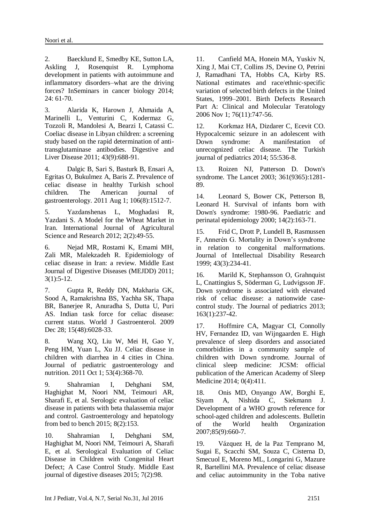2. Baecklund E, Smedby KE, Sutton LA, Askling J, Rosenquist R. Lymphoma development in patients with autoimmune and inflammatory disorders–what are the driving forces? InSeminars in cancer biology 2014; 24: 61-70.

3. Alarida K, Harown J, Ahmaida A, Marinelli L, Venturini C, Kodermaz G, Tozzoli R, Mandolesi A, Bearzi I, Catassi C. Coeliac disease in Libyan children: a screening study based on the rapid determination of antitransglutaminase antibodies. Digestive and Liver Disease 2011; 43(9):688-91.

4. Dalgic B, Sari S, Basturk B, Ensari A, Egritas O, Bukulmez A, Baris Z. Prevalence of celiac disease in healthy Turkish school children. The American journal of gastroenterology. 2011 Aug 1; 106(8):1512-7.

5. Yazdanshenas L, Moghadasi R, Yazdani S. A Model for the Wheat Market in Iran. International Journal of Agricultural Science and Research 2012; 2(2):49-55.

6. Nejad MR, Rostami K, Emami MH, Zali MR, Malekzadeh R. Epidemiology of celiac disease in Iran: a review. Middle East Journal of Digestive Diseases (MEJDD) 2011; 3(1):5-12.

7. Gupta R, Reddy DN, Makharia GK, Sood A, Ramakrishna BS, Yachha SK, Thapa BR, Banerjee R, Anuradha S, Dutta U, Puri AS. Indian task force for celiac disease: current status. World J Gastroenterol. 2009 Dec 28; 15(48):6028-33.

8. Wang XQ, Liu W, Mei H, Gao Y, Peng HM, Yuan L, Xu JJ. Celiac disease in children with diarrhea in 4 cities in China. Journal of pediatric gastroenterology and nutrition. 2011 Oct 1; 53(4):368-70.

9. Shahramian I, Dehghani SM, Haghighat M, Noori NM, Teimouri AR, Sharafi E, et al. Serologic evaluation of celiac disease in patients with beta thalassemia major and control. Gastroenterology and hepatology from bed to bench 2015; 8(2):153.

10. Shahramian I, Dehghani SM, Haghighat M, Noori NM, Teimouri A, Sharafi E, et al. Serological Evaluation of Celiac Disease in Children with Congenital Heart Defect; A Case Control Study. Middle East journal of digestive diseases 2015; 7(2):98.

11. Canfield MA, Honein MA, Yuskiv N, Xing J, Mai CT, Collins JS, Devine O, Petrini J, Ramadhani TA, Hobbs CA, Kirby RS. National estimates and race/ethnic‐specific variation of selected birth defects in the United States, 1999–2001. Birth Defects Research Part A: Clinical and Molecular Teratology 2006 Nov 1; 76(11):747-56.

12. Korkmaz HA, Dizdarer C, Ecevit CO. Hypocalcemic seizure in an adolescent with Down syndrome: A manifestation of unrecognized celiac disease. The Turkish journal of pediatrics 2014; 55:536-8.

13. Roizen NJ, Patterson D. Down's syndrome. The Lancet 2003; 361(9365):1281- 89.

14. Leonard S, Bower CK, Petterson B, Leonard H. Survival of infants born with Down's syndrome: 1980-96. Paediatric and perinatal epidemiology 2000; 14(2):163-71.

15. Frid C, Drott P, Lundell B, Rasmussen F, Annerén G. Mortality in Down's syndrome in relation to congenital malformations. Journal of Intellectual Disability Research 1999; 43(3):234-41.

16. Marild K, Stephansson O, Grahnquist L, Cnattingius S, Söderman G, Ludvigsson JF. Down syndrome is associated with elevated risk of celiac disease: a nationwide casecontrol study. The Journal of pediatrics 2013; 163(1):237-42.

17. Hoffmire CA, Magyar CI, Connolly HV, Fernandez ID, van Wijngaarden E. High prevalence of sleep disorders and associated comorbidities in a community sample of children with Down syndrome. Journal of clinical sleep medicine: JCSM: official publication of the American Academy of Sleep Medicine 2014; 0(4):411.

18. Onis MD, Onyango AW, Borghi E, Siyam A, Nishida C, Siekmann J. Development of a WHO growth reference for school-aged children and adolescents. Bulletin of the World health Organization 2007;85(9):660-7.

19. Vázquez H, de la Paz Temprano M, Sugai E, Scacchi SM, Souza C, Cisterna D, Smecuol E, Moreno ML, Longarini G, Mazure R, Bartellini MA. Prevalence of celiac disease and celiac autoimmunity in the Toba native